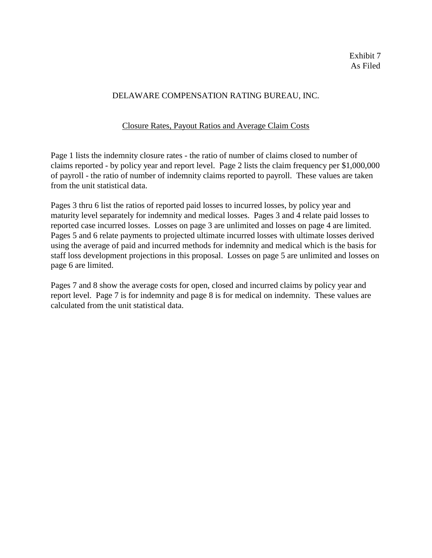## Closure Rates, Payout Ratios and Average Claim Costs

Page 1 lists the indemnity closure rates - the ratio of number of claims closed to number of claims reported - by policy year and report level. Page 2 lists the claim frequency per \$1,000,000 of payroll - the ratio of number of indemnity claims reported to payroll. These values are taken from the unit statistical data.

Pages 3 thru 6 list the ratios of reported paid losses to incurred losses, by policy year and maturity level separately for indemnity and medical losses. Pages 3 and 4 relate paid losses to reported case incurred losses. Losses on page 3 are unlimited and losses on page 4 are limited. Pages 5 and 6 relate payments to projected ultimate incurred losses with ultimate losses derived using the average of paid and incurred methods for indemnity and medical which is the basis for staff loss development projections in this proposal. Losses on page 5 are unlimited and losses on page 6 are limited.

Pages 7 and 8 show the average costs for open, closed and incurred claims by policy year and report level. Page 7 is for indemnity and page 8 is for medical on indemnity. These values are calculated from the unit statistical data.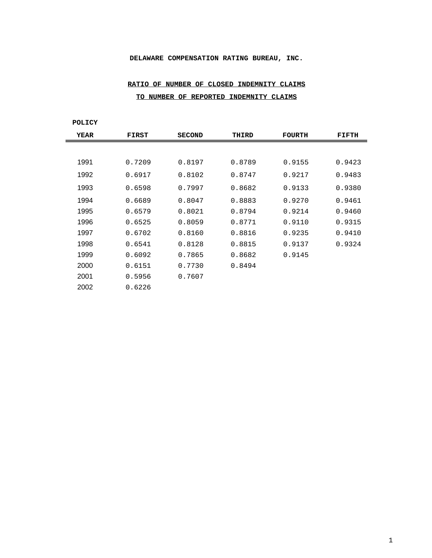# **RATIO OF NUMBER OF CLOSED INDEMNITY CLAIMS TO NUMBER OF REPORTED INDEMNITY CLAIMS**

**POLICY**

| <b>YEAR</b> | <b>FIRST</b> | <b>SECOND</b> | THIRD  | <b>FOURTH</b> | FIFTH  |
|-------------|--------------|---------------|--------|---------------|--------|
|             |              |               |        |               |        |
| 1991        | 0.7209       | 0.8197        | 0.8789 | 0.9155        | 0.9423 |
| 1992        | 0.6917       | 0.8102        | 0.8747 | 0.9217        | 0.9483 |
| 1993        | 0.6598       | 0.7997        | 0.8682 | 0.9133        | 0.9380 |
| 1994        | 0.6689       | 0.8047        | 0.8883 | 0.9270        | 0.9461 |
| 1995        | 0.6579       | 0.8021        | 0.8794 | 0.9214        | 0.9460 |
| 1996        | 0.6525       | 0.8059        | 0.8771 | 0.9110        | 0.9315 |
| 1997        | 0.6702       | 0.8160        | 0.8816 | 0.9235        | 0.9410 |
| 1998        | 0.6541       | 0.8128        | 0.8815 | 0.9137        | 0.9324 |
| 1999        | 0.6092       | 0.7865        | 0.8682 | 0.9145        |        |
| 2000        | 0.6151       | 0.7730        | 0.8494 |               |        |
| 2001        | 0.5956       | 0.7607        |        |               |        |
| 2002        | 0.6226       |               |        |               |        |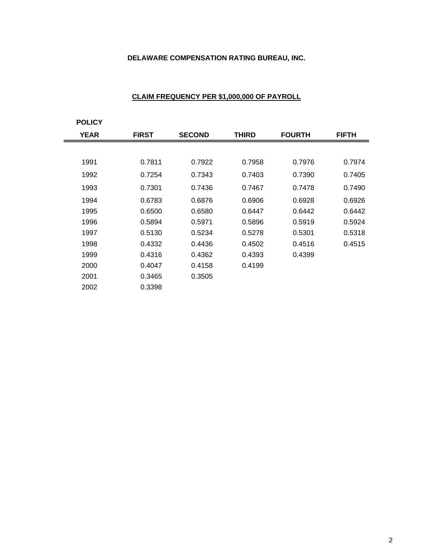| <b>POLICY</b> |              |               |              |               |              |
|---------------|--------------|---------------|--------------|---------------|--------------|
| <b>YEAR</b>   | <b>FIRST</b> | <b>SECOND</b> | <b>THIRD</b> | <b>FOURTH</b> | <b>FIFTH</b> |
|               |              |               |              |               |              |
| 1991          | 0.7811       | 0.7922        | 0.7958       | 0.7976        | 0.7974       |
| 1992          | 0.7254       | 0.7343        | 0.7403       | 0.7390        | 0.7405       |
| 1993          | 0.7301       | 0.7436        | 0.7467       | 0.7478        | 0.7490       |
| 1994          | 0.6783       | 0.6876        | 0.6906       | 0.6928        | 0.6926       |
| 1995          | 0.6500       | 0.6580        | 0.6447       | 0.6442        | 0.6442       |
| 1996          | 0.5894       | 0.5971        | 0.5896       | 0.5919        | 0.5924       |
| 1997          | 0.5130       | 0.5234        | 0.5278       | 0.5301        | 0.5318       |
| 1998          | 0.4332       | 0.4436        | 0.4502       | 0.4516        | 0.4515       |
| 1999          | 0.4316       | 0.4362        | 0.4393       | 0.4399        |              |
| 2000          | 0.4047       | 0.4158        | 0.4199       |               |              |
| 2001          | 0.3465       | 0.3505        |              |               |              |
| 2002          | 0.3398       |               |              |               |              |

## **CLAIM FREQUENCY PER \$1,000,000 OF PAYROLL**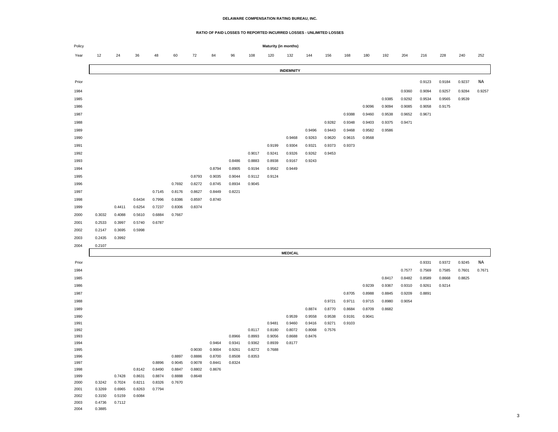#### **RATIO OF PAID LOSSES TO REPORTED INCURRED LOSSES - UNLIMITED LOSSES**

| Policy       | Maturity (in months) |                  |                  |                  |        |        |        |        |        |                  |                  |                  |                  |        |        |        |        |        |        |                  |        |
|--------------|----------------------|------------------|------------------|------------------|--------|--------|--------|--------|--------|------------------|------------------|------------------|------------------|--------|--------|--------|--------|--------|--------|------------------|--------|
| Year         | 12                   | 24               | 36               | 48               | 60     | 72     | 84     | 96     | 108    | 120              | 132              | 144              | 156              | 168    | 180    | 192    | 204    | 216    | 228    | 240              | 252    |
|              | <b>INDEMNITY</b>     |                  |                  |                  |        |        |        |        |        |                  |                  |                  |                  |        |        |        |        |        |        |                  |        |
| Prior        |                      |                  |                  |                  |        |        |        |        |        |                  |                  |                  |                  |        |        |        |        | 0.9123 | 0.9184 | 0.9237           | ΝA     |
|              |                      |                  |                  |                  |        |        |        |        |        |                  |                  |                  |                  |        |        |        |        |        |        |                  |        |
| 1984         |                      |                  |                  |                  |        |        |        |        |        |                  |                  |                  |                  |        |        |        | 0.9360 | 0.9094 | 0.9257 | 0.9284           | 0.9257 |
| 1985         |                      |                  |                  |                  |        |        |        |        |        |                  |                  |                  |                  |        |        | 0.9385 | 0.9292 | 0.9534 | 0.9565 | 0.9539           |        |
| 1986         |                      |                  |                  |                  |        |        |        |        |        |                  |                  |                  |                  |        | 0.9096 | 0.9094 | 0.9085 | 0.9058 | 0.9175 |                  |        |
| 1987         |                      |                  |                  |                  |        |        |        |        |        |                  |                  |                  |                  | 0.9388 | 0.9460 | 0.9538 | 0.9652 | 0.9671 |        |                  |        |
| 1988         |                      |                  |                  |                  |        |        |        |        |        |                  |                  |                  | 0.9282           | 0.9348 | 0.9403 | 0.9375 | 0.9471 |        |        |                  |        |
| 1989         |                      |                  |                  |                  |        |        |        |        |        |                  |                  | 0.9496           | 0.9443           | 0.9468 | 0.9582 | 0.9586 |        |        |        |                  |        |
| 1990         |                      |                  |                  |                  |        |        |        |        |        |                  | 0.9468           | 0.9263           | 0.9620           | 0.9615 | 0.9568 |        |        |        |        |                  |        |
| 1991         |                      |                  |                  |                  |        |        |        |        |        | 0.9199           | 0.9304           | 0.9321           | 0.9373           | 0.9373 |        |        |        |        |        |                  |        |
| 1992         |                      |                  |                  |                  |        |        |        |        | 0.9017 | 0.9241           | 0.9326           | 0.9262           | 0.9453           |        |        |        |        |        |        |                  |        |
| 1993         |                      |                  |                  |                  |        |        |        | 0.8486 | 0.8883 | 0.8938           | 0.9167           | 0.9243           |                  |        |        |        |        |        |        |                  |        |
| 1994         |                      |                  |                  |                  |        |        | 0.8794 | 0.8905 | 0.9194 | 0.9562           | 0.9449           |                  |                  |        |        |        |        |        |        |                  |        |
| 1995         |                      |                  |                  |                  |        | 0.8793 | 0.9035 | 0.9044 | 0.9112 | 0.9124           |                  |                  |                  |        |        |        |        |        |        |                  |        |
| 1996         |                      |                  |                  |                  | 0.7692 | 0.8272 | 0.8745 | 0.8934 | 0.9045 |                  |                  |                  |                  |        |        |        |        |        |        |                  |        |
| 1997         |                      |                  |                  | 0.7145           | 0.8176 | 0.8627 | 0.8449 | 0.8221 |        |                  |                  |                  |                  |        |        |        |        |        |        |                  |        |
| 1998         |                      |                  | 0.6434           | 0.7996           | 0.8386 | 0.8597 | 0.8740 |        |        |                  |                  |                  |                  |        |        |        |        |        |        |                  |        |
| 1999         |                      | 0.4411           | 0.6254           | 0.7237           | 0.8306 | 0.8374 |        |        |        |                  |                  |                  |                  |        |        |        |        |        |        |                  |        |
| 2000         | 0.3032               | 0.4088           | 0.5610           | 0.6884           | 0.7667 |        |        |        |        |                  |                  |                  |                  |        |        |        |        |        |        |                  |        |
| 2001         | 0.2533               | 0.3997           | 0.5740           | 0.6787           |        |        |        |        |        |                  |                  |                  |                  |        |        |        |        |        |        |                  |        |
| 2002         | 0.2147               | 0.3695           | 0.5998           |                  |        |        |        |        |        |                  |                  |                  |                  |        |        |        |        |        |        |                  |        |
| 2003         | 0.2435               | 0.3992           |                  |                  |        |        |        |        |        |                  |                  |                  |                  |        |        |        |        |        |        |                  |        |
| 2004         | 0.2107               |                  |                  |                  |        |        |        |        |        |                  |                  |                  |                  |        |        |        |        |        |        |                  |        |
|              |                      |                  |                  |                  |        |        |        |        |        |                  | <b>MEDICAL</b>   |                  |                  |        |        |        |        |        |        |                  |        |
| Prior        |                      |                  |                  |                  |        |        |        |        |        |                  |                  |                  |                  |        |        |        |        | 0.9331 | 0.9372 | 0.9245           | NA     |
|              |                      |                  |                  |                  |        |        |        |        |        |                  |                  |                  |                  |        |        |        | 0.7577 | 0.7569 | 0.7585 |                  | 0.7671 |
| 1984         |                      |                  |                  |                  |        |        |        |        |        |                  |                  |                  |                  |        |        | 0.8417 | 0.8482 | 0.8589 | 0.8668 | 0.7601<br>0.8825 |        |
| 1985         |                      |                  |                  |                  |        |        |        |        |        |                  |                  |                  |                  |        |        |        |        |        |        |                  |        |
| 1986         |                      |                  |                  |                  |        |        |        |        |        |                  |                  |                  |                  |        | 0.9239 | 0.9367 | 0.9310 | 0.9261 | 0.9214 |                  |        |
| 1987         |                      |                  |                  |                  |        |        |        |        |        |                  |                  |                  |                  | 0.8705 | 0.8988 | 0.8845 | 0.9209 | 0.8891 |        |                  |        |
| 1988         |                      |                  |                  |                  |        |        |        |        |        |                  |                  |                  | 0.9721           | 0.9711 | 0.9715 | 0.8980 | 0.9054 |        |        |                  |        |
| 1989         |                      |                  |                  |                  |        |        |        |        |        |                  |                  | 0.8874           | 0.8770           | 0.8684 | 0.8709 | 0.8682 |        |        |        |                  |        |
| 1990         |                      |                  |                  |                  |        |        |        |        |        |                  | 0.9539           | 0.9558           | 0.9538           | 0.9191 | 0.9041 |        |        |        |        |                  |        |
| 1991<br>1992 |                      |                  |                  |                  |        |        |        |        | 0.8117 | 0.9481<br>0.8180 | 0.9460<br>0.8072 | 0.9416<br>0.8068 | 0.9271<br>0.7576 | 0.9103 |        |        |        |        |        |                  |        |
| 1993         |                      |                  |                  |                  |        |        |        | 0.8966 | 0.8993 | 0.9056           | 0.8688           | 0.8476           |                  |        |        |        |        |        |        |                  |        |
| 1994         |                      |                  |                  |                  |        |        | 0.9464 | 0.9341 | 0.9362 | 0.8939           | 0.8177           |                  |                  |        |        |        |        |        |        |                  |        |
| 1995         |                      |                  |                  |                  |        | 0.9030 | 0.9004 | 0.9261 | 0.8272 | 0.7688           |                  |                  |                  |        |        |        |        |        |        |                  |        |
| 1996         |                      |                  |                  |                  | 0.8897 | 0.8886 | 0.8700 | 0.8508 | 0.8353 |                  |                  |                  |                  |        |        |        |        |        |        |                  |        |
| 1997         |                      |                  |                  | 0.8896           | 0.9045 | 0.9078 | 0.8441 | 0.8324 |        |                  |                  |                  |                  |        |        |        |        |        |        |                  |        |
| 1998         |                      |                  | 0.8142           | 0.8490           | 0.8847 | 0.8802 | 0.8676 |        |        |                  |                  |                  |                  |        |        |        |        |        |        |                  |        |
| 1999         |                      | 0.7428           | 0.8631           | 0.8874           | 0.8888 | 0.8648 |        |        |        |                  |                  |                  |                  |        |        |        |        |        |        |                  |        |
| 2000         | 0.3242<br>0.3269     | 0.7024           | 0.8211<br>0.8263 | 0.8326<br>0.7794 | 0.7670 |        |        |        |        |                  |                  |                  |                  |        |        |        |        |        |        |                  |        |
| 2001<br>2002 | 0.3150               | 0.6965<br>0.5159 | 0.6084           |                  |        |        |        |        |        |                  |                  |                  |                  |        |        |        |        |        |        |                  |        |
| 2003         | 0.4736               | 0.7112           |                  |                  |        |        |        |        |        |                  |                  |                  |                  |        |        |        |        |        |        |                  |        |
| 2004         | 0.3885               |                  |                  |                  |        |        |        |        |        |                  |                  |                  |                  |        |        |        |        |        |        |                  |        |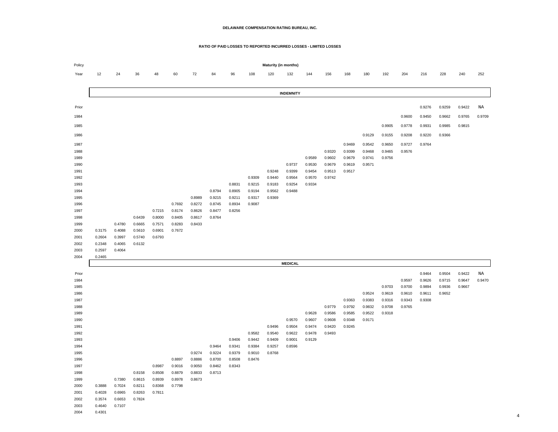### **RATIO OF PAID LOSSES TO REPORTED INCURRED LOSSES - LIMITED LOSSES**

| Policy       | Maturity (in months) |                  |                  |                  |                  |                  |        |        |        |                  |                  |                  |                  |                  |                  |        |        |        |        |        |        |
|--------------|----------------------|------------------|------------------|------------------|------------------|------------------|--------|--------|--------|------------------|------------------|------------------|------------------|------------------|------------------|--------|--------|--------|--------|--------|--------|
| Year         | 12                   | 24               | 36               | 48               | 60               | 72               | 84     | 96     | 108    | 120              | 132              | 144              | 156              | 168              | 180              | 192    | 204    | 216    | 228    | 240    | 252    |
|              |                      |                  |                  |                  |                  |                  |        |        |        |                  |                  |                  |                  |                  |                  |        |        |        |        |        |        |
|              | <b>INDEMNITY</b>     |                  |                  |                  |                  |                  |        |        |        |                  |                  |                  |                  |                  |                  |        |        |        |        |        |        |
|              |                      |                  |                  |                  |                  |                  |        |        |        |                  |                  |                  |                  |                  |                  |        |        |        |        |        |        |
| Prior        |                      |                  |                  |                  |                  |                  |        |        |        |                  |                  |                  |                  |                  |                  |        |        | 0.9276 | 0.9259 | 0.9422 | ΝA     |
| 1984         |                      |                  |                  |                  |                  |                  |        |        |        |                  |                  |                  |                  |                  |                  |        | 0.9600 | 0.9450 | 0.9662 | 0.9765 | 0.9709 |
|              |                      |                  |                  |                  |                  |                  |        |        |        |                  |                  |                  |                  |                  |                  |        |        |        |        |        |        |
| 1985         |                      |                  |                  |                  |                  |                  |        |        |        |                  |                  |                  |                  |                  |                  | 0.9905 | 0.9778 | 0.9931 | 0.9985 | 0.9815 |        |
| 1986         |                      |                  |                  |                  |                  |                  |        |        |        |                  |                  |                  |                  |                  | 0.9129           | 0.9155 | 0.9208 | 0.9220 | 0.9366 |        |        |
| 1987         |                      |                  |                  |                  |                  |                  |        |        |        |                  |                  |                  |                  | 0.9469           | 0.9542           | 0.9650 | 0.9727 | 0.9764 |        |        |        |
| 1988         |                      |                  |                  |                  |                  |                  |        |        |        |                  |                  |                  | 0.9320           | 0.9399           | 0.9468           | 0.9465 | 0.9576 |        |        |        |        |
| 1989         |                      |                  |                  |                  |                  |                  |        |        |        |                  |                  | 0.9589           | 0.9602           | 0.9679           | 0.9741           | 0.9756 |        |        |        |        |        |
| 1990         |                      |                  |                  |                  |                  |                  |        |        |        |                  | 0.9737           | 0.9530           | 0.9679           | 0.9619           | 0.9571           |        |        |        |        |        |        |
| 1991<br>1992 |                      |                  |                  |                  |                  |                  |        |        | 0.9309 | 0.9248<br>0.9440 | 0.9399<br>0.9564 | 0.9454<br>0.9570 | 0.9513<br>0.9742 | 0.9517           |                  |        |        |        |        |        |        |
| 1993         |                      |                  |                  |                  |                  |                  |        | 0.8831 | 0.9215 | 0.9183           | 0.9254           | 0.9334           |                  |                  |                  |        |        |        |        |        |        |
| 1994         |                      |                  |                  |                  |                  |                  | 0.8794 | 0.8905 | 0.9194 | 0.9562           | 0.9488           |                  |                  |                  |                  |        |        |        |        |        |        |
| 1995         |                      |                  |                  |                  |                  | 0.8989           | 0.9215 | 0.9211 | 0.9317 | 0.9369           |                  |                  |                  |                  |                  |        |        |        |        |        |        |
| 1996         |                      |                  |                  |                  | 0.7692           | 0.8272           | 0.8745 | 0.8934 | 0.9087 |                  |                  |                  |                  |                  |                  |        |        |        |        |        |        |
| 1997         |                      |                  |                  | 0.7215           | 0.8174           | 0.8626           | 0.8477 | 0.8256 |        |                  |                  |                  |                  |                  |                  |        |        |        |        |        |        |
| 1998         |                      |                  | 0.6439           | 0.8000           | 0.8405           | 0.8617           | 0.8764 |        |        |                  |                  |                  |                  |                  |                  |        |        |        |        |        |        |
| 1999         |                      | 0.4780           | 0.6665           | 0.7571           | 0.8283           | 0.8433           |        |        |        |                  |                  |                  |                  |                  |                  |        |        |        |        |        |        |
| 2000<br>2001 | 0.3175<br>0.2604     | 0.4088<br>0.3997 | 0.5610<br>0.5740 | 0.6901<br>0.6793 | 0.7672           |                  |        |        |        |                  |                  |                  |                  |                  |                  |        |        |        |        |        |        |
| 2002         | 0.2348               | 0.4065           | 0.6132           |                  |                  |                  |        |        |        |                  |                  |                  |                  |                  |                  |        |        |        |        |        |        |
| 2003         | 0.2597               | 0.4064           |                  |                  |                  |                  |        |        |        |                  |                  |                  |                  |                  |                  |        |        |        |        |        |        |
| 2004         | 0.2465               |                  |                  |                  |                  |                  |        |        |        |                  |                  |                  |                  |                  |                  |        |        |        |        |        |        |
|              |                      |                  |                  |                  |                  |                  |        |        |        |                  | <b>MEDICAL</b>   |                  |                  |                  |                  |        |        |        |        |        |        |
| Prior        |                      |                  |                  |                  |                  |                  |        |        |        |                  |                  |                  |                  |                  |                  |        |        | 0.9464 | 0.9504 | 0.9422 | ΝA     |
| 1984         |                      |                  |                  |                  |                  |                  |        |        |        |                  |                  |                  |                  |                  |                  |        | 0.9597 | 0.9626 | 0.9715 | 0.9647 | 0.9470 |
| 1985         |                      |                  |                  |                  |                  |                  |        |        |        |                  |                  |                  |                  |                  |                  | 0.9703 | 0.9700 | 0.9894 | 0.9936 | 0.9667 |        |
| 1986         |                      |                  |                  |                  |                  |                  |        |        |        |                  |                  |                  |                  |                  | 0.9524           | 0.9619 | 0.9610 | 0.9611 | 0.9652 |        |        |
| 1987         |                      |                  |                  |                  |                  |                  |        |        |        |                  |                  |                  |                  | 0.9363           | 0.9383           | 0.9316 | 0.9343 | 0.9308 |        |        |        |
| 1988         |                      |                  |                  |                  |                  |                  |        |        |        |                  |                  |                  | 0.9779           | 0.9792           | 0.9832           | 0.9708 | 0.9765 |        |        |        |        |
| 1989<br>1990 |                      |                  |                  |                  |                  |                  |        |        |        |                  | 0.9570           | 0.9628<br>0.9607 | 0.9586<br>0.9608 | 0.9585<br>0.9348 | 0.9522<br>0.9171 | 0.9318 |        |        |        |        |        |
| 1991         |                      |                  |                  |                  |                  |                  |        |        |        | 0.9496           | 0.9504           | 0.9474           | 0.9420           | 0.9245           |                  |        |        |        |        |        |        |
| 1992         |                      |                  |                  |                  |                  |                  |        |        | 0.9582 | 0.9540           | 0.9622           | 0.9478           | 0.9493           |                  |                  |        |        |        |        |        |        |
| 1993         |                      |                  |                  |                  |                  |                  |        | 0.9406 | 0.9442 | 0.9409           | 0.9001           | 0.9129           |                  |                  |                  |        |        |        |        |        |        |
| 1994         |                      |                  |                  |                  |                  |                  | 0.9464 | 0.9341 | 0.9384 | 0.9257           | 0.8596           |                  |                  |                  |                  |        |        |        |        |        |        |
| 1995         |                      |                  |                  |                  |                  | 0.9274           | 0.9224 | 0.9379 | 0.9010 | 0.8768           |                  |                  |                  |                  |                  |        |        |        |        |        |        |
| 1996         |                      |                  |                  |                  | 0.8897           | 0.8886           | 0.8700 | 0.8508 | 0.8476 |                  |                  |                  |                  |                  |                  |        |        |        |        |        |        |
| 1997         |                      |                  |                  | 0.8987           | 0.9016           | 0.9050           | 0.8462 | 0.8343 |        |                  |                  |                  |                  |                  |                  |        |        |        |        |        |        |
| 1998<br>1999 |                      | 0.7380           | 0.8158<br>0.8615 | 0.8508<br>0.8939 | 0.8879<br>0.8978 | 0.8833<br>0.8673 | 0.8713 |        |        |                  |                  |                  |                  |                  |                  |        |        |        |        |        |        |
| 2000         | 0.3888               | 0.7024           | 0.8211           | 0.8368           | 0.7798           |                  |        |        |        |                  |                  |                  |                  |                  |                  |        |        |        |        |        |        |
| 2001         | 0.4028               | 0.6965           | 0.8263           | 0.7811           |                  |                  |        |        |        |                  |                  |                  |                  |                  |                  |        |        |        |        |        |        |
| 2002         | 0.3574               | 0.6653           | 0.7824           |                  |                  |                  |        |        |        |                  |                  |                  |                  |                  |                  |        |        |        |        |        |        |
| 2003         | 0.4640               | 0.7107           |                  |                  |                  |                  |        |        |        |                  |                  |                  |                  |                  |                  |        |        |        |        |        |        |
| 2004         | 0.4301               |                  |                  |                  |                  |                  |        |        |        |                  |                  |                  |                  |                  |                  |        |        |        |        |        |        |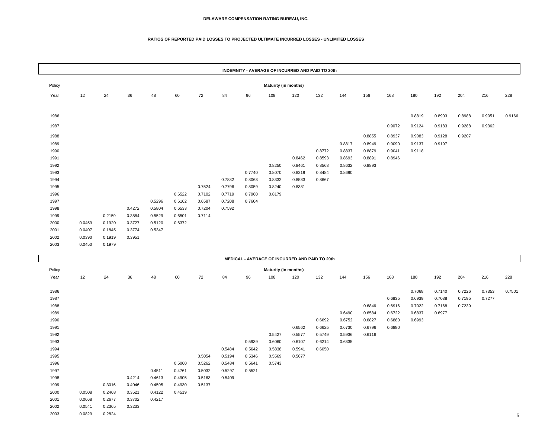#### **RATIOS OF REPORTED PAID LOSSES TO PROJECTED ULTIMATE INCURRED LOSSES - UNLIMITED LOSSES**

|        | INDEMNITY - AVERAGE OF INCURRED AND PAID TO 20th |        |        |        |        |        |        |        |        |                                                |        |        |        |        |        |        |        |        |        |
|--------|--------------------------------------------------|--------|--------|--------|--------|--------|--------|--------|--------|------------------------------------------------|--------|--------|--------|--------|--------|--------|--------|--------|--------|
| Policy | <b>Maturity (in months)</b>                      |        |        |        |        |        |        |        |        |                                                |        |        |        |        |        |        |        |        |        |
| Year   | 12                                               | 24     | 36     | 48     | 60     | 72     | 84     | 96     | 108    | 120                                            | 132    | 144    | 156    | 168    | 180    | 192    | 204    | 216    | 228    |
| 1986   |                                                  |        |        |        |        |        |        |        |        |                                                |        |        |        |        | 0.8819 | 0.8903 | 0.8988 | 0.9051 | 0.9166 |
| 1987   |                                                  |        |        |        |        |        |        |        |        |                                                |        |        |        | 0.9072 | 0.9124 | 0.9183 | 0.9288 | 0.9362 |        |
| 1988   |                                                  |        |        |        |        |        |        |        |        |                                                |        |        | 0.8855 | 0.8937 | 0.9083 | 0.9128 | 0.9207 |        |        |
| 1989   |                                                  |        |        |        |        |        |        |        |        |                                                |        | 0.8817 | 0.8949 | 0.9090 | 0.9137 | 0.9197 |        |        |        |
| 1990   |                                                  |        |        |        |        |        |        |        |        |                                                | 0.8772 | 0.8837 | 0.8879 | 0.9041 | 0.9118 |        |        |        |        |
| 1991   |                                                  |        |        |        |        |        |        |        |        | 0.8462                                         | 0.8593 | 0.8693 | 0.8891 | 0.8946 |        |        |        |        |        |
| 1992   |                                                  |        |        |        |        |        |        |        | 0.8250 | 0.8461                                         | 0.8568 | 0.8632 | 0.8893 |        |        |        |        |        |        |
| 1993   |                                                  |        |        |        |        |        |        | 0.7740 | 0.8070 | 0.8219                                         | 0.8484 | 0.8690 |        |        |        |        |        |        |        |
| 1994   |                                                  |        |        |        |        |        | 0.7882 | 0.8063 | 0.8332 | 0.8583                                         | 0.8667 |        |        |        |        |        |        |        |        |
| 1995   |                                                  |        |        |        |        | 0.7524 | 0.7796 | 0.8059 | 0.8240 | 0.8381                                         |        |        |        |        |        |        |        |        |        |
| 1996   |                                                  |        |        |        | 0.6522 | 0.7102 | 0.7719 | 0.7960 | 0.8179 |                                                |        |        |        |        |        |        |        |        |        |
| 1997   |                                                  |        |        | 0.5296 | 0.6162 | 0.6587 | 0.7208 | 0.7604 |        |                                                |        |        |        |        |        |        |        |        |        |
| 1998   |                                                  |        | 0.4272 | 0.5804 | 0.6533 | 0.7204 | 0.7592 |        |        |                                                |        |        |        |        |        |        |        |        |        |
| 1999   |                                                  | 0.2159 | 0.3884 | 0.5529 | 0.6501 | 0.7114 |        |        |        |                                                |        |        |        |        |        |        |        |        |        |
| 2000   | 0.0459                                           | 0.1920 | 0.3727 | 0.5120 | 0.6372 |        |        |        |        |                                                |        |        |        |        |        |        |        |        |        |
| 2001   | 0.0407                                           | 0.1845 | 0.3774 | 0.5347 |        |        |        |        |        |                                                |        |        |        |        |        |        |        |        |        |
| 2002   | 0.0390                                           | 0.1919 | 0.3951 |        |        |        |        |        |        |                                                |        |        |        |        |        |        |        |        |        |
| 2003   | 0.0450                                           | 0.1979 |        |        |        |        |        |        |        |                                                |        |        |        |        |        |        |        |        |        |
|        |                                                  |        |        |        |        |        |        |        |        |                                                |        |        |        |        |        |        |        |        |        |
|        |                                                  |        |        |        |        |        |        |        |        | MEDICAL - AVERAGE OF INCURRED AND PAID TO 20th |        |        |        |        |        |        |        |        |        |

|                                | <b>MEDICAL - AVERAGE OF INCURRED AND PAID TO 20th</b> |        |        |        |        |        |        |        |        |        |        |        |        |        |        |        |        |        |        |
|--------------------------------|-------------------------------------------------------|--------|--------|--------|--------|--------|--------|--------|--------|--------|--------|--------|--------|--------|--------|--------|--------|--------|--------|
| Policy<br>Maturity (in months) |                                                       |        |        |        |        |        |        |        |        |        |        |        |        |        |        |        |        |        |        |
| Year                           | 12                                                    | 24     | 36     | 48     | 60     | 72     | 84     | 96     | 108    | 120    | 132    | 144    | 156    | 168    | 180    | 192    | 204    | 216    | 228    |
|                                |                                                       |        |        |        |        |        |        |        |        |        |        |        |        |        |        |        |        |        |        |
| 1986                           |                                                       |        |        |        |        |        |        |        |        |        |        |        |        |        | 0.7068 | 0.7140 | 0.7226 | 0.7353 | 0.7501 |
| 1987                           |                                                       |        |        |        |        |        |        |        |        |        |        |        |        | 0.6835 | 0.6939 | 0.7038 | 0.7195 | 0.7277 |        |
| 1988                           |                                                       |        |        |        |        |        |        |        |        |        |        |        | 0.6846 | 0.6916 | 0.7022 | 0.7168 | 0.7239 |        |        |
| 1989                           |                                                       |        |        |        |        |        |        |        |        |        |        | 0.6490 | 0.6584 | 0.6722 | 0.6837 | 0.6977 |        |        |        |
| 1990                           |                                                       |        |        |        |        |        |        |        |        |        | 0.6692 | 0.6752 | 0.6827 | 0.6880 | 0.6993 |        |        |        |        |
| 1991                           |                                                       |        |        |        |        |        |        |        |        | 0.6562 | 0.6625 | 0.6730 | 0.6796 | 0.6880 |        |        |        |        |        |
| 1992                           |                                                       |        |        |        |        |        |        |        | 0.5427 | 0.5577 | 0.5749 | 0.5936 | 0.6116 |        |        |        |        |        |        |
| 1993                           |                                                       |        |        |        |        |        |        | 0.5939 | 0.6060 | 0.6107 | 0.6214 | 0.6335 |        |        |        |        |        |        |        |
| 1994                           |                                                       |        |        |        |        |        | 0.5484 | 0.5642 | 0.5838 | 0.5941 | 0.6050 |        |        |        |        |        |        |        |        |
| 1995                           |                                                       |        |        |        |        | 0.5054 | 0.5194 | 0.5346 | 0.5569 | 0.5677 |        |        |        |        |        |        |        |        |        |
| 1996                           |                                                       |        |        |        | 0.5060 | 0.5262 | 0.5484 | 0.5641 | 0.5743 |        |        |        |        |        |        |        |        |        |        |
| 1997                           |                                                       |        |        | 0.4511 | 0.4761 | 0.5032 | 0.5297 | 0.5521 |        |        |        |        |        |        |        |        |        |        |        |
| 1998                           |                                                       |        | 0.4214 | 0.4613 | 0.4905 | 0.5163 | 0.5409 |        |        |        |        |        |        |        |        |        |        |        |        |
| 1999                           |                                                       | 0.3016 | 0.4046 | 0.4595 | 0.4930 | 0.5137 |        |        |        |        |        |        |        |        |        |        |        |        |        |
| 2000                           | 0.0508                                                | 0.2468 | 0.3521 | 0.4122 | 0.4519 |        |        |        |        |        |        |        |        |        |        |        |        |        |        |
| 2001                           | 0.0668                                                | 0.2677 | 0.3702 | 0.4217 |        |        |        |        |        |        |        |        |        |        |        |        |        |        |        |
| 2002                           | 0.0541                                                | 0.2365 | 0.3233 |        |        |        |        |        |        |        |        |        |        |        |        |        |        |        |        |
| 2003                           | 0.0829                                                | 0.2824 |        |        |        |        |        |        |        |        |        |        |        |        |        |        |        |        | 5      |
|                                |                                                       |        |        |        |        |        |        |        |        |        |        |        |        |        |        |        |        |        |        |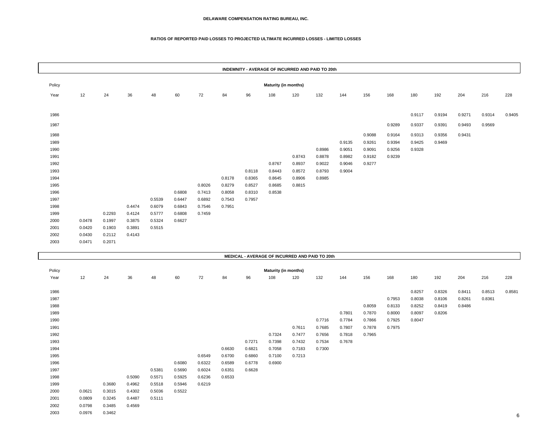### **RATIOS OF REPORTED PAID LOSSES TO PROJECTED ULTIMATE INCURRED LOSSES - LIMITED LOSSES**

|              |        |        |        |                  |                  |                  |                  |                  |                             |        | INDEMNITY - AVERAGE OF INCURRED AND PAID TO 20th |        |        |        |        |        |        |        |        |
|--------------|--------|--------|--------|------------------|------------------|------------------|------------------|------------------|-----------------------------|--------|--------------------------------------------------|--------|--------|--------|--------|--------|--------|--------|--------|
| Policy       |        |        |        |                  |                  |                  |                  |                  | Maturity (in months)        |        |                                                  |        |        |        |        |        |        |        |        |
| Year         | 12     | 24     | 36     | 48               | 60               | 72               | 84               | 96               | 108                         | 120    | 132                                              | 144    | 156    | 168    | 180    | 192    | 204    | 216    | 228    |
|              |        |        |        |                  |                  |                  |                  |                  |                             |        |                                                  |        |        |        |        |        |        |        |        |
| 1986         |        |        |        |                  |                  |                  |                  |                  |                             |        |                                                  |        |        |        | 0.9117 | 0.9194 | 0.9271 | 0.9314 | 0.9405 |
| 1987         |        |        |        |                  |                  |                  |                  |                  |                             |        |                                                  |        |        | 0.9289 | 0.9337 | 0.9391 | 0.9493 | 0.9569 |        |
|              |        |        |        |                  |                  |                  |                  |                  |                             |        |                                                  |        |        |        |        |        |        |        |        |
| 1988         |        |        |        |                  |                  |                  |                  |                  |                             |        |                                                  |        | 0.9088 | 0.9164 | 0.9313 | 0.9356 | 0.9431 |        |        |
| 1989         |        |        |        |                  |                  |                  |                  |                  |                             |        |                                                  | 0.9135 | 0.9261 | 0.9394 | 0.9425 | 0.9469 |        |        |        |
| 1990         |        |        |        |                  |                  |                  |                  |                  |                             |        | 0.8986                                           | 0.9051 | 0.9091 | 0.9256 | 0.9328 |        |        |        |        |
| 1991         |        |        |        |                  |                  |                  |                  |                  |                             | 0.8743 | 0.8878                                           | 0.8982 | 0.9182 | 0.9239 |        |        |        |        |        |
| 1992         |        |        |        |                  |                  |                  |                  |                  | 0.8767                      | 0.8937 | 0.9022                                           | 0.9046 | 0.9277 |        |        |        |        |        |        |
| 1993         |        |        |        |                  |                  |                  |                  | 0.8118           | 0.8443                      | 0.8572 | 0.8793                                           | 0.9004 |        |        |        |        |        |        |        |
| 1994         |        |        |        |                  |                  |                  | 0.8178           | 0.8365           | 0.8645                      | 0.8906 | 0.8985                                           |        |        |        |        |        |        |        |        |
| 1995         |        |        |        |                  |                  | 0.8026           | 0.8279           | 0.8527           | 0.8685                      | 0.8815 |                                                  |        |        |        |        |        |        |        |        |
| 1996<br>1997 |        |        |        | 0.5539           | 0.6808<br>0.6447 | 0.7413<br>0.6892 | 0.8058<br>0.7543 | 0.8310<br>0.7957 | 0.8538                      |        |                                                  |        |        |        |        |        |        |        |        |
| 1998         |        |        | 0.4474 | 0.6079           | 0.6843           | 0.7546           | 0.7951           |                  |                             |        |                                                  |        |        |        |        |        |        |        |        |
| 1999         |        | 0.2293 | 0.4124 | 0.5777           | 0.6808           | 0.7459           |                  |                  |                             |        |                                                  |        |        |        |        |        |        |        |        |
| 2000         | 0.0478 | 0.1997 | 0.3875 | 0.5324           | 0.6627           |                  |                  |                  |                             |        |                                                  |        |        |        |        |        |        |        |        |
| 2001         | 0.0420 | 0.1903 | 0.3891 | 0.5515           |                  |                  |                  |                  |                             |        |                                                  |        |        |        |        |        |        |        |        |
| 2002         | 0.0430 | 0.2112 | 0.4143 |                  |                  |                  |                  |                  |                             |        |                                                  |        |        |        |        |        |        |        |        |
| 2003         | 0.0471 | 0.2071 |        |                  |                  |                  |                  |                  |                             |        |                                                  |        |        |        |        |        |        |        |        |
|              |        |        |        |                  |                  |                  |                  |                  |                             |        |                                                  |        |        |        |        |        |        |        |        |
|              |        |        |        |                  |                  |                  |                  |                  |                             |        | MEDICAL - AVERAGE OF INCURRED AND PAID TO 20th   |        |        |        |        |        |        |        |        |
| Policy       |        |        |        |                  |                  |                  |                  |                  | <b>Maturity (in months)</b> |        |                                                  |        |        |        |        |        |        |        |        |
| Year         | 12     | 24     | 36     | 48               | 60               | 72               | 84               | 96               | 108                         | 120    | 132                                              | 144    | 156    | 168    | 180    | 192    | 204    | 216    | 228    |
|              |        |        |        |                  |                  |                  |                  |                  |                             |        |                                                  |        |        |        |        |        |        |        |        |
| 1986         |        |        |        |                  |                  |                  |                  |                  |                             |        |                                                  |        |        |        | 0.8257 | 0.8326 | 0.8411 | 0.8513 | 0.8581 |
| 1987         |        |        |        |                  |                  |                  |                  |                  |                             |        |                                                  |        |        | 0.7953 | 0.8038 | 0.8106 | 0.8261 | 0.8361 |        |
| 1988         |        |        |        |                  |                  |                  |                  |                  |                             |        |                                                  |        | 0.8059 | 0.8133 | 0.8252 | 0.8419 | 0.8486 |        |        |
| 1989         |        |        |        |                  |                  |                  |                  |                  |                             |        |                                                  | 0.7801 | 0.7870 | 0.8000 | 0.8097 | 0.8206 |        |        |        |
| 1990         |        |        |        |                  |                  |                  |                  |                  |                             |        | 0.7716                                           | 0.7784 | 0.7866 | 0.7925 | 0.8047 |        |        |        |        |
| 1991         |        |        |        |                  |                  |                  |                  |                  |                             | 0.7611 | 0.7685                                           | 0.7807 | 0.7878 | 0.7975 |        |        |        |        |        |
| 1992         |        |        |        |                  |                  |                  |                  |                  | 0.7324                      | 0.7477 | 0.7656                                           | 0.7818 | 0.7965 |        |        |        |        |        |        |
| 1993         |        |        |        |                  |                  |                  |                  | 0.7271           | 0.7398                      | 0.7432 | 0.7534                                           | 0.7678 |        |        |        |        |        |        |        |
| 1994         |        |        |        |                  |                  |                  | 0.6630           | 0.6821           | 0.7058                      | 0.7183 | 0.7300                                           |        |        |        |        |        |        |        |        |
| 1995         |        |        |        |                  |                  | 0.6549           | 0.6700           | 0.6860           | 0.7100                      | 0.7213 |                                                  |        |        |        |        |        |        |        |        |
| 1996<br>1997 |        |        |        |                  | 0.6080           | 0.6322           | 0.6589           | 0.6778           | 0.6900                      |        |                                                  |        |        |        |        |        |        |        |        |
| 1998         |        |        | 0.5090 | 0.5381<br>0.5571 | 0.5690<br>0.5925 | 0.6024<br>0.6236 | 0.6351<br>0.6533 | 0.6628           |                             |        |                                                  |        |        |        |        |        |        |        |        |
| 1999         |        | 0.3680 | 0.4962 | 0.5518           | 0.5946           | 0.6219           |                  |                  |                             |        |                                                  |        |        |        |        |        |        |        |        |
| 2000         | 0.0621 | 0.3015 | 0.4302 | 0.5036           | 0.5522           |                  |                  |                  |                             |        |                                                  |        |        |        |        |        |        |        |        |
| 2001         | 0.0809 | 0.3245 | 0.4487 | 0.5111           |                  |                  |                  |                  |                             |        |                                                  |        |        |        |        |        |        |        |        |
| 2002         | 0.0798 | 0.3485 | 0.4569 |                  |                  |                  |                  |                  |                             |        |                                                  |        |        |        |        |        |        |        |        |
| 2003         | 0.0976 | 0.3462 |        |                  |                  |                  |                  |                  |                             |        |                                                  |        |        |        |        |        |        |        |        |
|              |        |        |        |                  |                  |                  |                  |                  |                             |        |                                                  |        |        |        |        |        |        |        |        |

е последници по селото на 1992 година, се од 1993 година, се од 1993 година, селото 1993 година, селото 1993 г<br>Селото 1993 година од 1993 година, селото 1993 година, селото 1993 година, селото 1993 година, селото 1993 год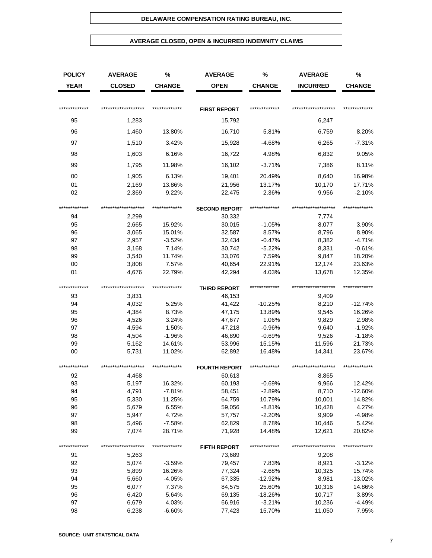## **AVERAGE CLOSED, OPEN & INCURRED INDEMNITY CLAIMS**

| <b>POLICY</b> | <b>AVERAGE</b>      | %             | <b>AVERAGE</b>       | %             | <b>AVERAGE</b>      | %             |
|---------------|---------------------|---------------|----------------------|---------------|---------------------|---------------|
| <b>YEAR</b>   | <b>CLOSED</b>       | <b>CHANGE</b> | <b>OPEN</b>          | <b>CHANGE</b> | <b>INCURRED</b>     | <b>CHANGE</b> |
|               |                     |               |                      |               |                     |               |
| ************* | ******************  | ************* | <b>FIRST REPORT</b>  | ************* | ******************* | ************* |
| 95            | 1,283               |               | 15,792               |               | 6,247               |               |
| 96            | 1,460               | 13.80%        | 16,710               | 5.81%         | 6,759               | 8.20%         |
| 97            | 1,510               | 3.42%         | 15,928               | $-4.68%$      | 6,265               | $-7.31%$      |
| 98            | 1,603               | 6.16%         | 16,722               | 4.98%         | 6,832               | 9.05%         |
| 99            | 1,795               | 11.98%        | 16,102               | $-3.71%$      | 7,386               | 8.11%         |
| 00            | 1,905               | 6.13%         | 19,401               | 20.49%        | 8,640               | 16.98%        |
| 01            | 2,169               | 13.86%        | 21,956               | 13.17%        | 10,170              | 17.71%        |
| 02            | 2,369               | 9.22%         | 22,475               | 2.36%         | 9,956               | $-2.10%$      |
| ************* | ******************* | ************* | <b>SECOND REPORT</b> | ************* | ******************* | ************* |
| 94            | 2,299               |               | 30,332               |               | 7,774               |               |
| 95            | 2,665               | 15.92%        | 30,015               | $-1.05%$      | 8,077               | 3.90%         |
| 96            | 3,065               | 15.01%        | 32,587               | 8.57%         | 8,796               | 8.90%         |
| 97            | 2,957               | $-3.52%$      | 32,434               | $-0.47%$      | 8,382               | $-4.71%$      |
| 98            | 3,168               | 7.14%         | 30,742               | $-5.22%$      | 8,331               | $-0.61%$      |
| 99            | 3,540               | 11.74%        | 33,076               | 7.59%         | 9,847               | 18.20%        |
| 00            | 3,808               | 7.57%         | 40,654               | 22.91%        | 12,174              | 23.63%        |
| 01            | 4,676               | 22.79%        | 42,294               | 4.03%         | 13,678              | 12.35%        |
|               |                     |               |                      |               |                     |               |
| ************* | ******************* | ************* | <b>THIRD REPORT</b>  | ************* | ******************* | ************* |
| 93            | 3,831               |               | 46,153               |               | 9,409               |               |
| 94            | 4,032               | 5.25%         | 41,422               | $-10.25%$     | 8,210               | $-12.74%$     |
| 95            | 4,384               | 8.73%         | 47,175               | 13.89%        | 9,545               | 16.26%        |
| 96            | 4,526               | 3.24%         | 47,677               | 1.06%         | 9,829               | 2.98%         |
| 97            | 4,594               | 1.50%         | 47,218               | $-0.96%$      | 9,640               | $-1.92%$      |
| 98            | 4,504               | $-1.96%$      | 46,890               | $-0.69%$      | 9,526               | $-1.18%$      |
| 99            | 5,162               | 14.61%        | 53,996               | 15.15%        | 11,596              | 21.73%        |
| 00            | 5,731               | 11.02%        | 62,892               | 16.48%        | 14,341              | 23.67%        |
| ************* | ******************* | ************* | <b>FOURTH REPORT</b> | ************* | ******************* | ************* |
| 92            | 4,468               |               | 60,613               |               | 8,865               |               |
| 93            | 5,197               | 16.32%        | 60,193               | $-0.69%$      | 9,966               | 12.42%        |
| 94            | 4,791               | -7.81%        | 58,451               | $-2.89%$      | 8,710               | $-12.60%$     |
| 95            | 5,330               | 11.25%        | 64,759               | 10.79%        | 10,001              | 14.82%        |
| 96            | 5,679               | 6.55%         | 59,056               | $-8.81%$      | 10,428              | 4.27%         |
| 97            | 5,947               | 4.72%         | 57,757               | $-2.20%$      | 9,909               | $-4.98%$      |
| 98            | 5,496               | $-7.58%$      | 62,829               | 8.78%         | 10,446              | 5.42%         |
| 99            | 7,074               | 28.71%        | 71,928               | 14.48%        | 12,621              | 20.82%        |
| **********    |                     | ************* | <b>FIFTH REPORT</b>  | ************* | *****************   | ************* |
| 91            | 5,263               |               | 73,689               |               | 9,208               |               |
| 92            | 5,074               | $-3.59%$      | 79,457               | 7.83%         | 8,921               | $-3.12%$      |
| 93            | 5,899               | 16.26%        | 77,324               | $-2.68%$      | 10,325              | 15.74%        |
| 94            | 5,660               | $-4.05%$      | 67,335               | $-12.92%$     | 8,981               | $-13.02%$     |
| 95            | 6,077               | 7.37%         | 84,575               | 25.60%        | 10,316              | 14.86%        |
| 96            | 6,420               | 5.64%         | 69,135               | $-18.26%$     | 10,717              | 3.89%         |
| 97            | 6,679               | 4.03%         | 66,916               | $-3.21%$      | 10,236              | $-4.49%$      |
| 98            | 6,238               | $-6.60%$      | 77,423               | 15.70%        | 11,050              | 7.95%         |